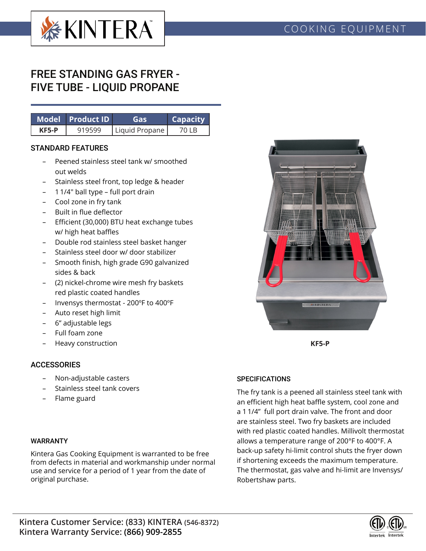

# FREE STANDING GAS FRYER - FIVE TUBE - LIQUID PROPANE

|       | Model Product ID | Gas            | <b>Capacity</b> |  |  |
|-------|------------------|----------------|-----------------|--|--|
| KF5-P | 919599           | Liquid Propane | 70 I B          |  |  |

#### STANDARD FEATURES

- Peened stainless steel tank w/ smoothed out welds
- Stainless steel front, top ledge & header
- 1 1/4" ball type full port drain
- Cool zone in fry tank
- Built in flue deflector
- Efficient (30,000) BTU heat exchange tubes w/ high heat baffles
- Double rod stainless steel basket hanger
- Stainless steel door w/ door stabilizer
- Smooth finish, high grade G90 galvanized sides & back
- (2) nickel-chrome wire mesh fry baskets red plastic coated handles
- Invensys thermostat 200ºF to 400ºF
- Auto reset high limit
- 6" adjustable legs
- Full foam zone
- Heavy construction

### **ACCESSORIES**

- Non-adjustable casters
- Stainless steel tank covers
- Flame guard

### WARRANTY

Kintera Gas Cooking Equipment is warranted to be free from defects in material and workmanship under normal use and service for a period of 1 year from the date of original purchase.



**KF5-P**

### **SPECIFICATIONS**

The fry tank is a peened all stainless steel tank with an efficient high heat baffle system, cool zone and a 1 1/4" full port drain valve. The front and door are stainless steel. Two fry baskets are included with red plastic coated handles. Millivolt thermostat allows a temperature range of 200°F to 400°F. A back-up safety hi-limit control shuts the fryer down if shortening exceeds the maximum temperature. The thermostat, gas valve and hi-limit are Invensys/ Robertshaw parts.